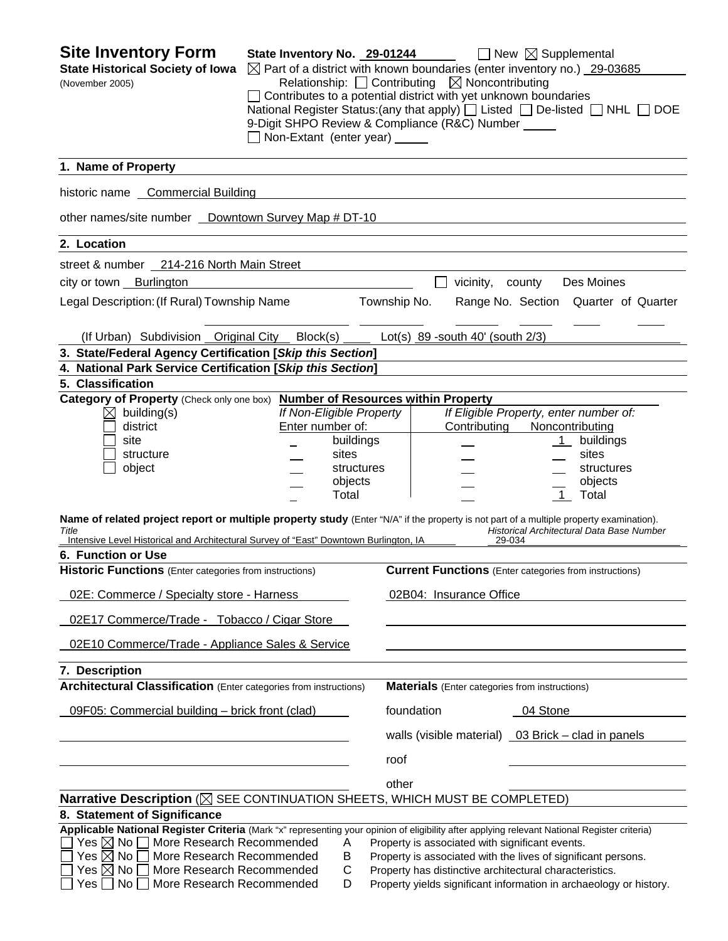| <b>Site Inventory Form</b><br><b>State Historical Society of Iowa</b><br>(November 2005)                                                         | State Inventory No. 29-01244  |                          | Relationship: $\Box$ Contributing $\boxtimes$ Noncontributing<br>$\Box$ Contributes to a potential district with yet unknown boundaries | $\Box$ New $\boxtimes$ Supplemental<br>$\boxtimes$ Part of a district with known boundaries (enter inventory no.) 29-03685 |
|--------------------------------------------------------------------------------------------------------------------------------------------------|-------------------------------|--------------------------|-----------------------------------------------------------------------------------------------------------------------------------------|----------------------------------------------------------------------------------------------------------------------------|
|                                                                                                                                                  | Non-Extant (enter year) _____ |                          | 9-Digit SHPO Review & Compliance (R&C) Number                                                                                           | National Register Status: (any that apply) [ Listed [ De-listed [ NHL [ DOE                                                |
| 1. Name of Property                                                                                                                              |                               |                          |                                                                                                                                         |                                                                                                                            |
| historic name Commercial Building                                                                                                                |                               |                          |                                                                                                                                         |                                                                                                                            |
| other names/site number __ Downtown Survey Map # DT-10                                                                                           |                               |                          |                                                                                                                                         |                                                                                                                            |
| 2. Location                                                                                                                                      |                               |                          |                                                                                                                                         |                                                                                                                            |
| street & number 214-216 North Main Street                                                                                                        |                               |                          |                                                                                                                                         |                                                                                                                            |
| city or town Burlington                                                                                                                          |                               |                          | vicinity,                                                                                                                               | Des Moines<br>county                                                                                                       |
| Legal Description: (If Rural) Township Name                                                                                                      |                               | Township No.             |                                                                                                                                         | Range No. Section Quarter of Quarter                                                                                       |
| (If Urban) Subdivision Original City                                                                                                             | Block(s)                      |                          | Lot(s) $89$ -south 40' (south $2/3$ )                                                                                                   |                                                                                                                            |
| 3. State/Federal Agency Certification [Skip this Section]                                                                                        |                               |                          |                                                                                                                                         |                                                                                                                            |
| 4. National Park Service Certification [Skip this Section]                                                                                       |                               |                          |                                                                                                                                         |                                                                                                                            |
| 5. Classification                                                                                                                                |                               |                          |                                                                                                                                         |                                                                                                                            |
| Category of Property (Check only one box) Number of Resources within Property<br>building(s)<br>$\bowtie$                                        |                               | If Non-Eligible Property |                                                                                                                                         | If Eligible Property, enter number of:                                                                                     |
| district                                                                                                                                         | Enter number of:              |                          | Contributing                                                                                                                            | Noncontributing                                                                                                            |
| site                                                                                                                                             |                               | buildings                |                                                                                                                                         | buildings<br>1                                                                                                             |
| structure                                                                                                                                        |                               | sites                    |                                                                                                                                         | sites                                                                                                                      |
| object                                                                                                                                           |                               | structures               |                                                                                                                                         | structures                                                                                                                 |
|                                                                                                                                                  |                               | objects<br>Total         |                                                                                                                                         | objects<br>$\mathbf{1}$<br>Total                                                                                           |
| Name of related project report or multiple property study (Enter "N/A" if the property is not part of a multiple property examination).<br>Title |                               |                          |                                                                                                                                         | Historical Architectural Data Base Number                                                                                  |
| Intensive Level Historical and Architectural Survey of "East" Downtown Burlington, IA<br>6. Function or Use                                      |                               |                          |                                                                                                                                         | 29-034                                                                                                                     |
| <b>Historic Functions</b> (Enter categories from instructions)                                                                                   |                               |                          |                                                                                                                                         | <b>Current Functions</b> (Enter categories from instructions)                                                              |
| 02E: Commerce / Specialty store - Harness                                                                                                        |                               |                          | 02B04: Insurance Office                                                                                                                 |                                                                                                                            |
| 02E17 Commerce/Trade - Tobacco / Cigar Store                                                                                                     |                               |                          |                                                                                                                                         |                                                                                                                            |
| 02E10 Commerce/Trade - Appliance Sales & Service                                                                                                 |                               |                          |                                                                                                                                         |                                                                                                                            |
| 7. Description                                                                                                                                   |                               |                          |                                                                                                                                         |                                                                                                                            |
| <b>Architectural Classification</b> (Enter categories from instructions)                                                                         |                               |                          | <b>Materials</b> (Enter categories from instructions)                                                                                   |                                                                                                                            |
| 09F05: Commercial building - brick front (clad)                                                                                                  |                               |                          | foundation                                                                                                                              | 04 Stone                                                                                                                   |
|                                                                                                                                                  |                               |                          |                                                                                                                                         | walls (visible material) $03$ Brick – clad in panels                                                                       |
|                                                                                                                                                  |                               | roof                     |                                                                                                                                         |                                                                                                                            |
|                                                                                                                                                  |                               | other                    |                                                                                                                                         |                                                                                                                            |
| Narrative Description $(\boxtimes$ SEE CONTINUATION SHEETS, WHICH MUST BE COMPLETED)                                                             |                               |                          |                                                                                                                                         |                                                                                                                            |
| 8. Statement of Significance                                                                                                                     |                               |                          |                                                                                                                                         |                                                                                                                            |
| Applicable National Register Criteria (Mark "x" representing your opinion of eligibility after applying relevant National Register criteria)     |                               |                          |                                                                                                                                         |                                                                                                                            |
| Yes $\boxtimes$ No $\sqcap$<br>More Research Recommended<br>Yes $\boxtimes$ No I<br>More Research Recommended                                    |                               | Α<br>В                   | Property is associated with significant events.                                                                                         |                                                                                                                            |
| Yes $\boxtimes$ No $\mid$<br>More Research Recommended                                                                                           |                               | $\mathsf{C}$             |                                                                                                                                         | Property is associated with the lives of significant persons.<br>Property has distinctive architectural characteristics.   |
| More Research Recommended<br>Yes<br>No l                                                                                                         |                               | D                        |                                                                                                                                         | Property yields significant information in archaeology or history.                                                         |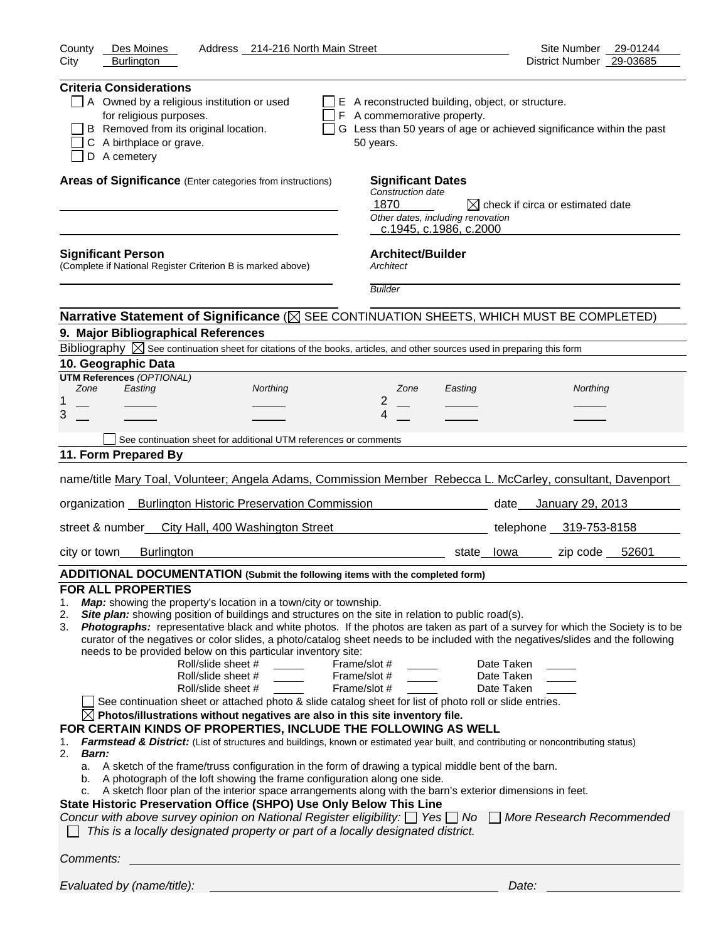| City<br><b>Burlington</b><br><b>Criteria Considerations</b>                                                                                                                                                                                                                                                                                                                                                                                                                                                                                                                                                                                                                                                                                                                                                                                                                                                                                                                                                                                                                                                                                                                                                                                                                                                                                                                                                                                                                                                                                                                                                                                                                                                                                                                                                    | District Number 29-03685                                             |
|----------------------------------------------------------------------------------------------------------------------------------------------------------------------------------------------------------------------------------------------------------------------------------------------------------------------------------------------------------------------------------------------------------------------------------------------------------------------------------------------------------------------------------------------------------------------------------------------------------------------------------------------------------------------------------------------------------------------------------------------------------------------------------------------------------------------------------------------------------------------------------------------------------------------------------------------------------------------------------------------------------------------------------------------------------------------------------------------------------------------------------------------------------------------------------------------------------------------------------------------------------------------------------------------------------------------------------------------------------------------------------------------------------------------------------------------------------------------------------------------------------------------------------------------------------------------------------------------------------------------------------------------------------------------------------------------------------------------------------------------------------------------------------------------------------------|----------------------------------------------------------------------|
|                                                                                                                                                                                                                                                                                                                                                                                                                                                                                                                                                                                                                                                                                                                                                                                                                                                                                                                                                                                                                                                                                                                                                                                                                                                                                                                                                                                                                                                                                                                                                                                                                                                                                                                                                                                                                |                                                                      |
| A Owned by a religious institution or used<br>E A reconstructed building, object, or structure.<br>F A commemorative property.<br>for religious purposes.<br>B Removed from its original location.<br>C A birthplace or grave.<br>50 years.<br>D A cemetery                                                                                                                                                                                                                                                                                                                                                                                                                                                                                                                                                                                                                                                                                                                                                                                                                                                                                                                                                                                                                                                                                                                                                                                                                                                                                                                                                                                                                                                                                                                                                    | G Less than 50 years of age or achieved significance within the past |
| Areas of Significance (Enter categories from instructions)<br><b>Significant Dates</b><br>Construction date<br>1870<br>Other dates, including renovation<br>c.1945, c.1986, c.2000                                                                                                                                                                                                                                                                                                                                                                                                                                                                                                                                                                                                                                                                                                                                                                                                                                                                                                                                                                                                                                                                                                                                                                                                                                                                                                                                                                                                                                                                                                                                                                                                                             | $\boxtimes$ check if circa or estimated date                         |
| <b>Architect/Builder</b><br><b>Significant Person</b><br>(Complete if National Register Criterion B is marked above)<br>Architect<br><b>Builder</b>                                                                                                                                                                                                                                                                                                                                                                                                                                                                                                                                                                                                                                                                                                                                                                                                                                                                                                                                                                                                                                                                                                                                                                                                                                                                                                                                                                                                                                                                                                                                                                                                                                                            |                                                                      |
| Narrative Statement of Significance $(\boxtimes$ SEE CONTINUATION SHEETS, WHICH MUST BE COMPLETED)                                                                                                                                                                                                                                                                                                                                                                                                                                                                                                                                                                                                                                                                                                                                                                                                                                                                                                                                                                                                                                                                                                                                                                                                                                                                                                                                                                                                                                                                                                                                                                                                                                                                                                             |                                                                      |
| 9. Major Bibliographical References                                                                                                                                                                                                                                                                                                                                                                                                                                                                                                                                                                                                                                                                                                                                                                                                                                                                                                                                                                                                                                                                                                                                                                                                                                                                                                                                                                                                                                                                                                                                                                                                                                                                                                                                                                            |                                                                      |
| Bibliography $\boxtimes$ See continuation sheet for citations of the books, articles, and other sources used in preparing this form                                                                                                                                                                                                                                                                                                                                                                                                                                                                                                                                                                                                                                                                                                                                                                                                                                                                                                                                                                                                                                                                                                                                                                                                                                                                                                                                                                                                                                                                                                                                                                                                                                                                            |                                                                      |
| 10. Geographic Data<br><b>UTM References (OPTIONAL)</b><br>Easting<br>Zone<br>Northing<br>Zone<br>Easting<br>2<br>1<br>3<br>4                                                                                                                                                                                                                                                                                                                                                                                                                                                                                                                                                                                                                                                                                                                                                                                                                                                                                                                                                                                                                                                                                                                                                                                                                                                                                                                                                                                                                                                                                                                                                                                                                                                                                  | Northing                                                             |
| See continuation sheet for additional UTM references or comments                                                                                                                                                                                                                                                                                                                                                                                                                                                                                                                                                                                                                                                                                                                                                                                                                                                                                                                                                                                                                                                                                                                                                                                                                                                                                                                                                                                                                                                                                                                                                                                                                                                                                                                                               |                                                                      |
| 11. Form Prepared By                                                                                                                                                                                                                                                                                                                                                                                                                                                                                                                                                                                                                                                                                                                                                                                                                                                                                                                                                                                                                                                                                                                                                                                                                                                                                                                                                                                                                                                                                                                                                                                                                                                                                                                                                                                           |                                                                      |
| name/title Mary Toal, Volunteer; Angela Adams, Commission Member Rebecca L. McCarley, consultant, Davenport                                                                                                                                                                                                                                                                                                                                                                                                                                                                                                                                                                                                                                                                                                                                                                                                                                                                                                                                                                                                                                                                                                                                                                                                                                                                                                                                                                                                                                                                                                                                                                                                                                                                                                    |                                                                      |
| organization Burlington Historic Preservation Commission <b>State Commission</b>                                                                                                                                                                                                                                                                                                                                                                                                                                                                                                                                                                                                                                                                                                                                                                                                                                                                                                                                                                                                                                                                                                                                                                                                                                                                                                                                                                                                                                                                                                                                                                                                                                                                                                                               | date January 29, 2013                                                |
|                                                                                                                                                                                                                                                                                                                                                                                                                                                                                                                                                                                                                                                                                                                                                                                                                                                                                                                                                                                                                                                                                                                                                                                                                                                                                                                                                                                                                                                                                                                                                                                                                                                                                                                                                                                                                |                                                                      |
| street & number<br>City Hall, 400 Washington Street                                                                                                                                                                                                                                                                                                                                                                                                                                                                                                                                                                                                                                                                                                                                                                                                                                                                                                                                                                                                                                                                                                                                                                                                                                                                                                                                                                                                                                                                                                                                                                                                                                                                                                                                                            | telephone 319-753-8158                                               |
| Burlington<br>city or town__                                                                                                                                                                                                                                                                                                                                                                                                                                                                                                                                                                                                                                                                                                                                                                                                                                                                                                                                                                                                                                                                                                                                                                                                                                                                                                                                                                                                                                                                                                                                                                                                                                                                                                                                                                                   | state lowa zip code 52601                                            |
| ADDITIONAL DOCUMENTATION (Submit the following items with the completed form)<br><b>FOR ALL PROPERTIES</b><br>Map: showing the property's location in a town/city or township.<br>1.<br>Site plan: showing position of buildings and structures on the site in relation to public road(s).<br>2.<br>Photographs: representative black and white photos. If the photos are taken as part of a survey for which the Society is to be<br>3.<br>curator of the negatives or color slides, a photo/catalog sheet needs to be included with the negatives/slides and the following<br>needs to be provided below on this particular inventory site:<br>Roll/slide sheet # ______<br>Frame/slot #<br>Roll/slide sheet # ______<br>Frame/slot #<br>Roll/slide sheet #<br>Frame/slot #<br>See continuation sheet or attached photo & slide catalog sheet for list of photo roll or slide entries.<br>$\boxtimes$ Photos/illustrations without negatives are also in this site inventory file.<br>FOR CERTAIN KINDS OF PROPERTIES, INCLUDE THE FOLLOWING AS WELL<br>Farmstead & District: (List of structures and buildings, known or estimated year built, and contributing or noncontributing status)<br>1.<br>2.<br>Barn:<br>a. A sketch of the frame/truss configuration in the form of drawing a typical middle bent of the barn.<br>b. A photograph of the loft showing the frame configuration along one side.<br>c. A sketch floor plan of the interior space arrangements along with the barn's exterior dimensions in feet.<br>State Historic Preservation Office (SHPO) Use Only Below This Line<br>Concur with above survey opinion on National Register eligibility: □ Yes □ No □ More Research Recommended<br>This is a locally designated property or part of a locally designated district.<br>Comments: | Date Taken<br>Date Taken<br>Date Taken                               |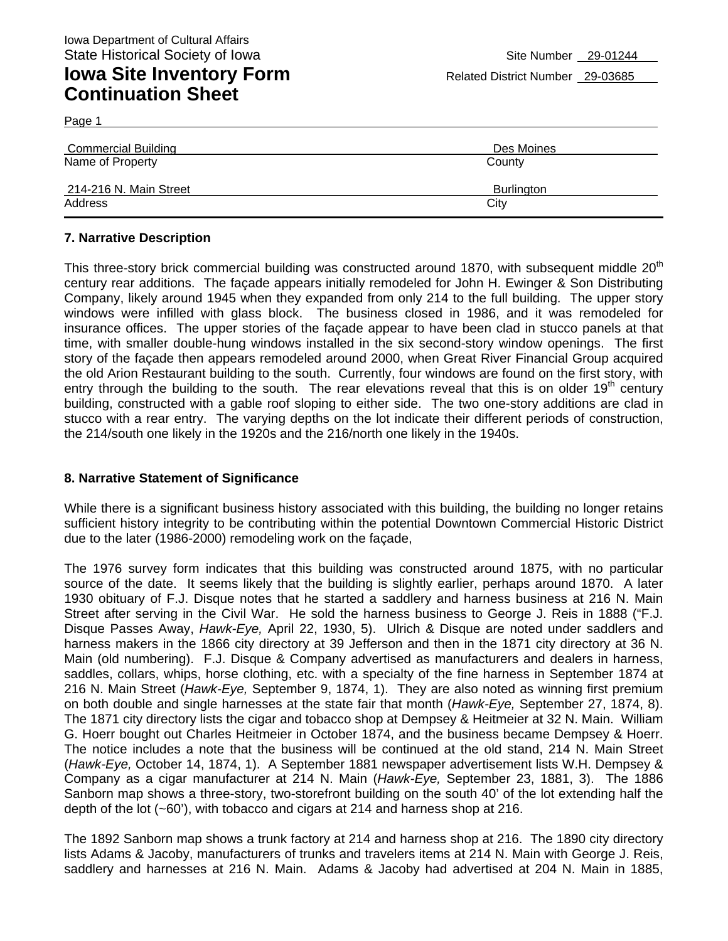| <b>Commercial Building</b> | Des Moines        |
|----------------------------|-------------------|
| Name of Property           | County            |
| 214-216 N. Main Street     | <b>Burlington</b> |
| Address                    | City              |

#### **7. Narrative Description**

Page 1

This three-story brick commercial building was constructed around 1870, with subsequent middle 20<sup>th</sup> century rear additions. The façade appears initially remodeled for John H. Ewinger & Son Distributing Company, likely around 1945 when they expanded from only 214 to the full building. The upper story windows were infilled with glass block. The business closed in 1986, and it was remodeled for insurance offices. The upper stories of the façade appear to have been clad in stucco panels at that time, with smaller double-hung windows installed in the six second-story window openings. The first story of the façade then appears remodeled around 2000, when Great River Financial Group acquired the old Arion Restaurant building to the south. Currently, four windows are found on the first story, with entry through the building to the south. The rear elevations reveal that this is on older  $19<sup>th</sup>$  century building, constructed with a gable roof sloping to either side. The two one-story additions are clad in stucco with a rear entry. The varying depths on the lot indicate their different periods of construction, the 214/south one likely in the 1920s and the 216/north one likely in the 1940s.

#### **8. Narrative Statement of Significance**

While there is a significant business history associated with this building, the building no longer retains sufficient history integrity to be contributing within the potential Downtown Commercial Historic District due to the later (1986-2000) remodeling work on the façade,

The 1976 survey form indicates that this building was constructed around 1875, with no particular source of the date. It seems likely that the building is slightly earlier, perhaps around 1870. A later 1930 obituary of F.J. Disque notes that he started a saddlery and harness business at 216 N. Main Street after serving in the Civil War. He sold the harness business to George J. Reis in 1888 ("F.J. Disque Passes Away, *Hawk-Eye,* April 22, 1930, 5). Ulrich & Disque are noted under saddlers and harness makers in the 1866 city directory at 39 Jefferson and then in the 1871 city directory at 36 N. Main (old numbering). F.J. Disque & Company advertised as manufacturers and dealers in harness, saddles, collars, whips, horse clothing, etc. with a specialty of the fine harness in September 1874 at 216 N. Main Street (*Hawk-Eye,* September 9, 1874, 1). They are also noted as winning first premium on both double and single harnesses at the state fair that month (*Hawk-Eye,* September 27, 1874, 8). The 1871 city directory lists the cigar and tobacco shop at Dempsey & Heitmeier at 32 N. Main. William G. Hoerr bought out Charles Heitmeier in October 1874, and the business became Dempsey & Hoerr. The notice includes a note that the business will be continued at the old stand, 214 N. Main Street (*Hawk-Eye,* October 14, 1874, 1). A September 1881 newspaper advertisement lists W.H. Dempsey & Company as a cigar manufacturer at 214 N. Main (*Hawk-Eye,* September 23, 1881, 3). The 1886 Sanborn map shows a three-story, two-storefront building on the south 40' of the lot extending half the depth of the lot (~60'), with tobacco and cigars at 214 and harness shop at 216.

The 1892 Sanborn map shows a trunk factory at 214 and harness shop at 216. The 1890 city directory lists Adams & Jacoby, manufacturers of trunks and travelers items at 214 N. Main with George J. Reis, saddlery and harnesses at 216 N. Main. Adams & Jacoby had advertised at 204 N. Main in 1885,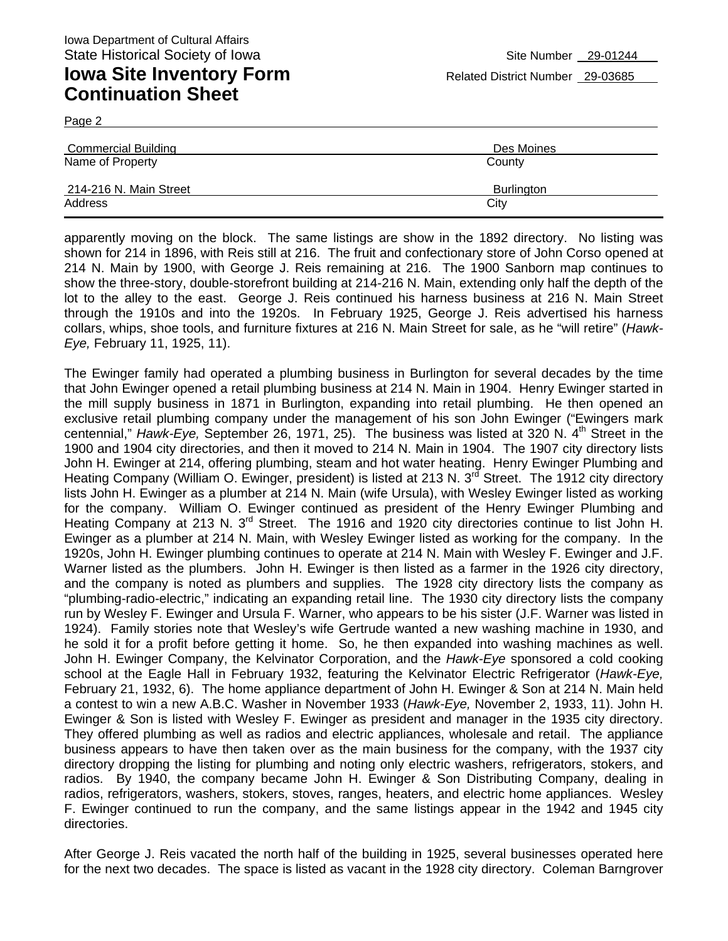Page 2

| <b>Commercial Building</b> | Des Moines        |  |
|----------------------------|-------------------|--|
| Name of Property           | County            |  |
| 214-216 N. Main Street     | <b>Burlington</b> |  |
| Address                    | City              |  |

apparently moving on the block. The same listings are show in the 1892 directory. No listing was shown for 214 in 1896, with Reis still at 216. The fruit and confectionary store of John Corso opened at 214 N. Main by 1900, with George J. Reis remaining at 216. The 1900 Sanborn map continues to show the three-story, double-storefront building at 214-216 N. Main, extending only half the depth of the lot to the alley to the east. George J. Reis continued his harness business at 216 N. Main Street through the 1910s and into the 1920s. In February 1925, George J. Reis advertised his harness collars, whips, shoe tools, and furniture fixtures at 216 N. Main Street for sale, as he "will retire" (*Hawk-Eye,* February 11, 1925, 11).

The Ewinger family had operated a plumbing business in Burlington for several decades by the time that John Ewinger opened a retail plumbing business at 214 N. Main in 1904. Henry Ewinger started in the mill supply business in 1871 in Burlington, expanding into retail plumbing. He then opened an exclusive retail plumbing company under the management of his son John Ewinger ("Ewingers mark centennial," *Hawk-Eye, September 26, 1971, 25*). The business was listed at 320 N. 4<sup>th</sup> Street in the 1900 and 1904 city directories, and then it moved to 214 N. Main in 1904. The 1907 city directory lists John H. Ewinger at 214, offering plumbing, steam and hot water heating. Henry Ewinger Plumbing and Heating Company (William O. Ewinger, president) is listed at 213 N. 3<sup>rd</sup> Street. The 1912 city directory lists John H. Ewinger as a plumber at 214 N. Main (wife Ursula), with Wesley Ewinger listed as working for the company. William O. Ewinger continued as president of the Henry Ewinger Plumbing and Heating Company at 213 N. 3<sup>rd</sup> Street. The 1916 and 1920 city directories continue to list John H. Ewinger as a plumber at 214 N. Main, with Wesley Ewinger listed as working for the company. In the 1920s, John H. Ewinger plumbing continues to operate at 214 N. Main with Wesley F. Ewinger and J.F. Warner listed as the plumbers. John H. Ewinger is then listed as a farmer in the 1926 city directory, and the company is noted as plumbers and supplies. The 1928 city directory lists the company as "plumbing-radio-electric," indicating an expanding retail line. The 1930 city directory lists the company run by Wesley F. Ewinger and Ursula F. Warner, who appears to be his sister (J.F. Warner was listed in 1924). Family stories note that Wesley's wife Gertrude wanted a new washing machine in 1930, and he sold it for a profit before getting it home. So, he then expanded into washing machines as well. John H. Ewinger Company, the Kelvinator Corporation, and the *Hawk-Eye* sponsored a cold cooking school at the Eagle Hall in February 1932, featuring the Kelvinator Electric Refrigerator (*Hawk-Eye,*  February 21, 1932, 6). The home appliance department of John H. Ewinger & Son at 214 N. Main held a contest to win a new A.B.C. Washer in November 1933 (*Hawk-Eye,* November 2, 1933, 11). John H. Ewinger & Son is listed with Wesley F. Ewinger as president and manager in the 1935 city directory. They offered plumbing as well as radios and electric appliances, wholesale and retail. The appliance business appears to have then taken over as the main business for the company, with the 1937 city directory dropping the listing for plumbing and noting only electric washers, refrigerators, stokers, and radios. By 1940, the company became John H. Ewinger & Son Distributing Company, dealing in radios, refrigerators, washers, stokers, stoves, ranges, heaters, and electric home appliances. Wesley F. Ewinger continued to run the company, and the same listings appear in the 1942 and 1945 city directories.

After George J. Reis vacated the north half of the building in 1925, several businesses operated here for the next two decades. The space is listed as vacant in the 1928 city directory. Coleman Barngrover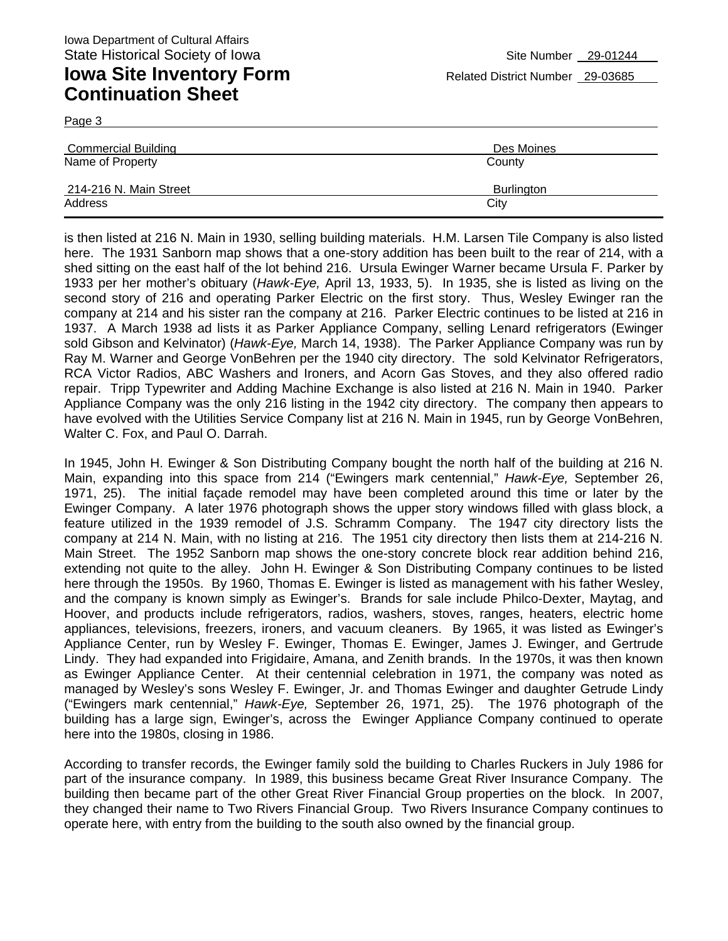Page 3

| <b>Commercial Building</b> | Des Moines        |
|----------------------------|-------------------|
| Name of Property           | County            |
| 214-216 N. Main Street     | <b>Burlington</b> |
| Address                    | City              |

is then listed at 216 N. Main in 1930, selling building materials. H.M. Larsen Tile Company is also listed here. The 1931 Sanborn map shows that a one-story addition has been built to the rear of 214, with a shed sitting on the east half of the lot behind 216. Ursula Ewinger Warner became Ursula F. Parker by 1933 per her mother's obituary (*Hawk-Eye,* April 13, 1933, 5). In 1935, she is listed as living on the second story of 216 and operating Parker Electric on the first story. Thus, Wesley Ewinger ran the company at 214 and his sister ran the company at 216. Parker Electric continues to be listed at 216 in 1937. A March 1938 ad lists it as Parker Appliance Company, selling Lenard refrigerators (Ewinger sold Gibson and Kelvinator) (*Hawk-Eye,* March 14, 1938). The Parker Appliance Company was run by Ray M. Warner and George VonBehren per the 1940 city directory. The sold Kelvinator Refrigerators, RCA Victor Radios, ABC Washers and Ironers, and Acorn Gas Stoves, and they also offered radio repair. Tripp Typewriter and Adding Machine Exchange is also listed at 216 N. Main in 1940. Parker Appliance Company was the only 216 listing in the 1942 city directory. The company then appears to have evolved with the Utilities Service Company list at 216 N. Main in 1945, run by George VonBehren, Walter C. Fox, and Paul O. Darrah.

In 1945, John H. Ewinger & Son Distributing Company bought the north half of the building at 216 N. Main, expanding into this space from 214 ("Ewingers mark centennial," *Hawk-Eye,* September 26, 1971, 25). The initial façade remodel may have been completed around this time or later by the Ewinger Company. A later 1976 photograph shows the upper story windows filled with glass block, a feature utilized in the 1939 remodel of J.S. Schramm Company. The 1947 city directory lists the company at 214 N. Main, with no listing at 216. The 1951 city directory then lists them at 214-216 N. Main Street. The 1952 Sanborn map shows the one-story concrete block rear addition behind 216, extending not quite to the alley. John H. Ewinger & Son Distributing Company continues to be listed here through the 1950s. By 1960, Thomas E. Ewinger is listed as management with his father Wesley, and the company is known simply as Ewinger's. Brands for sale include Philco-Dexter, Maytag, and Hoover, and products include refrigerators, radios, washers, stoves, ranges, heaters, electric home appliances, televisions, freezers, ironers, and vacuum cleaners. By 1965, it was listed as Ewinger's Appliance Center, run by Wesley F. Ewinger, Thomas E. Ewinger, James J. Ewinger, and Gertrude Lindy. They had expanded into Frigidaire, Amana, and Zenith brands. In the 1970s, it was then known as Ewinger Appliance Center. At their centennial celebration in 1971, the company was noted as managed by Wesley's sons Wesley F. Ewinger, Jr. and Thomas Ewinger and daughter Getrude Lindy ("Ewingers mark centennial," *Hawk-Eye,* September 26, 1971, 25). The 1976 photograph of the building has a large sign, Ewinger's, across the Ewinger Appliance Company continued to operate here into the 1980s, closing in 1986.

According to transfer records, the Ewinger family sold the building to Charles Ruckers in July 1986 for part of the insurance company. In 1989, this business became Great River Insurance Company. The building then became part of the other Great River Financial Group properties on the block. In 2007, they changed their name to Two Rivers Financial Group. Two Rivers Insurance Company continues to operate here, with entry from the building to the south also owned by the financial group.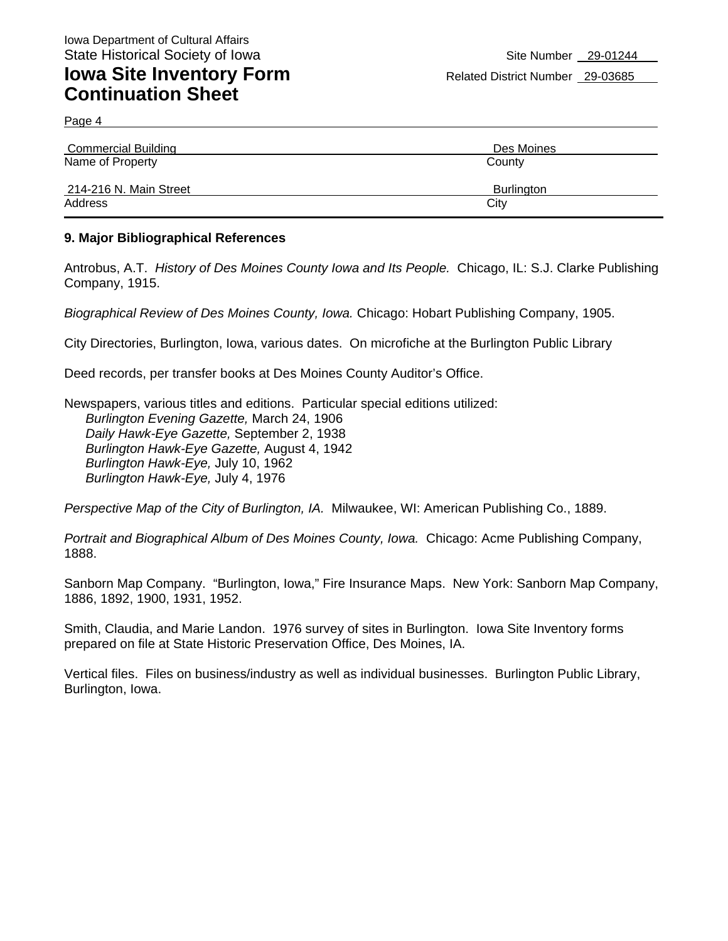Page 4

| <b>Commercial Building</b> | Des Moines        |
|----------------------------|-------------------|
| Name of Property           | County            |
| 214-216 N. Main Street     | <b>Burlington</b> |
| Address                    | City              |

#### **9. Major Bibliographical References**

Antrobus, A.T. *History of Des Moines County Iowa and Its People.* Chicago, IL: S.J. Clarke Publishing Company, 1915.

*Biographical Review of Des Moines County, Iowa.* Chicago: Hobart Publishing Company, 1905.

City Directories, Burlington, Iowa, various dates. On microfiche at the Burlington Public Library

Deed records, per transfer books at Des Moines County Auditor's Office.

Newspapers, various titles and editions. Particular special editions utilized: *Burlington Evening Gazette,* March 24, 1906 *Daily Hawk-Eye Gazette,* September 2, 1938 *Burlington Hawk-Eye Gazette,* August 4, 1942 *Burlington Hawk-Eye,* July 10, 1962 *Burlington Hawk-Eye,* July 4, 1976

*Perspective Map of the City of Burlington, IA.* Milwaukee, WI: American Publishing Co., 1889.

*Portrait and Biographical Album of Des Moines County, Iowa.* Chicago: Acme Publishing Company, 1888.

Sanborn Map Company. "Burlington, Iowa," Fire Insurance Maps. New York: Sanborn Map Company, 1886, 1892, 1900, 1931, 1952.

Smith, Claudia, and Marie Landon. 1976 survey of sites in Burlington. Iowa Site Inventory forms prepared on file at State Historic Preservation Office, Des Moines, IA.

Vertical files. Files on business/industry as well as individual businesses. Burlington Public Library, Burlington, Iowa.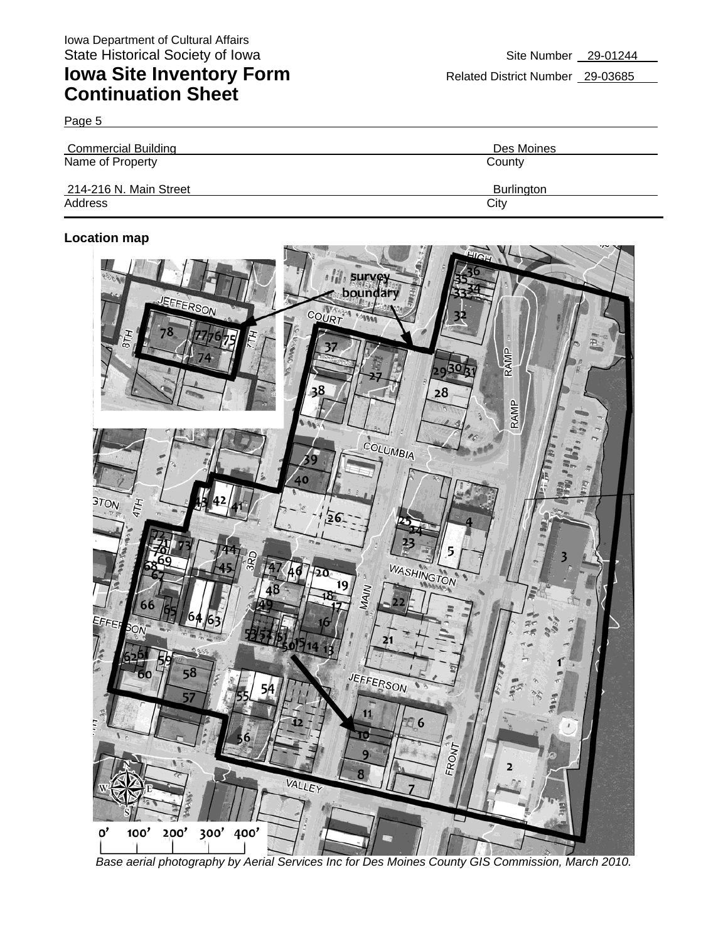Page 5

| <b>Commercial Building</b> | Des Moines        |
|----------------------------|-------------------|
| Name of Property           | County            |
| 214-216 N. Main Street     | <b>Burlington</b> |
| Address                    | City              |

#### **Location map**



*Base aerial photography by Aerial Services Inc for Des Moines County GIS Commission, March 2010.*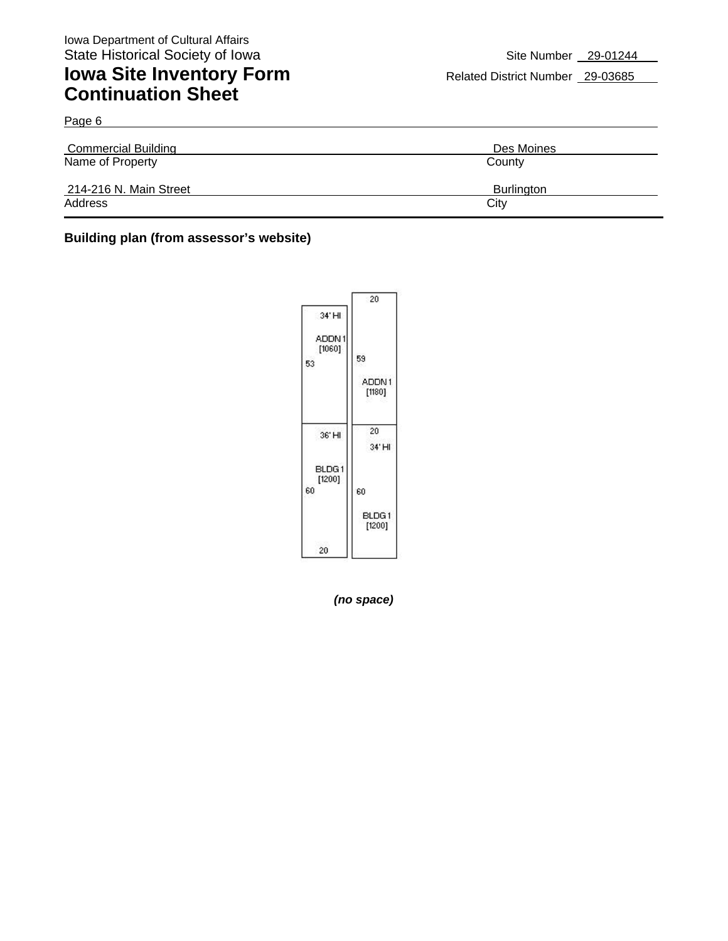Page 6

# **Iowa Site Inventory Form** Related District Number 29-03685 **Continuation Sheet**

| <b>Commercial Building</b> | Des Moines        |
|----------------------------|-------------------|
| Name of Property           | County            |
| 214-216 N. Main Street     | <b>Burlington</b> |
| Address                    | City              |

### **Building plan (from assessor's website)**

| $34'$ HI                          | 20              |
|-----------------------------------|-----------------|
| ADDN <sub>1</sub><br>[1060]<br>53 | 59              |
|                                   | ADDN1<br>[1180] |
| 36'HI                             | 20<br>34'HI     |
| BLDG 1<br>[1200]<br>60            | 60              |
|                                   | BLDG1<br>[1200] |
| 20                                |                 |

*(no space)*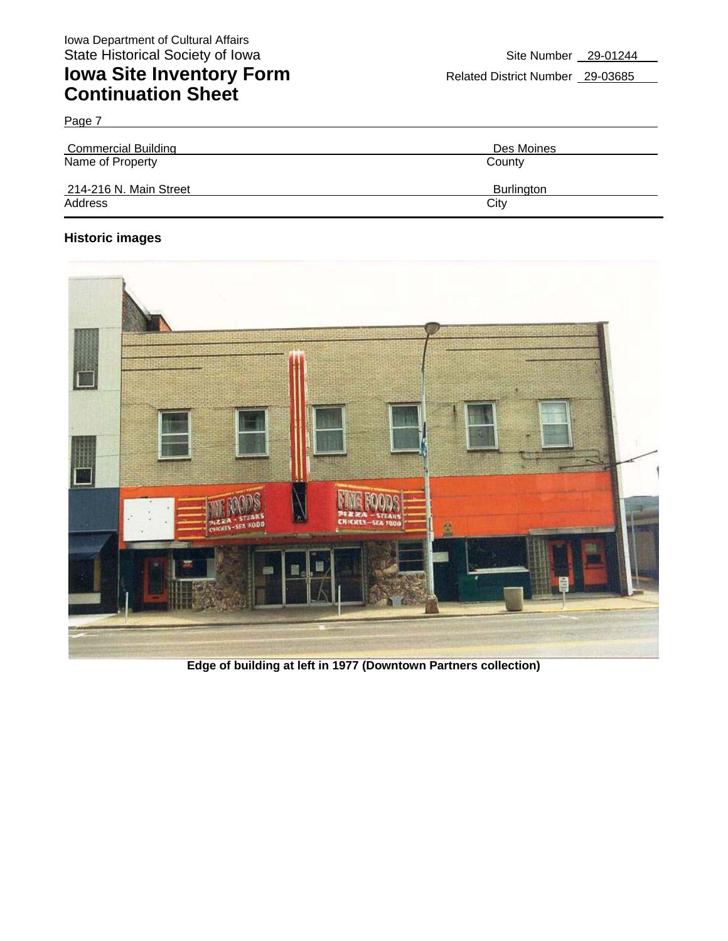| <b>Commercial Building</b> | Des Moines        |
|----------------------------|-------------------|
| Name of Property           | County            |
| 214-216 N. Main Street     | <b>Burlington</b> |
| Address                    | City              |

### **Historic images**

Page 7



**Edge of building at left in 1977 (Downtown Partners collection)**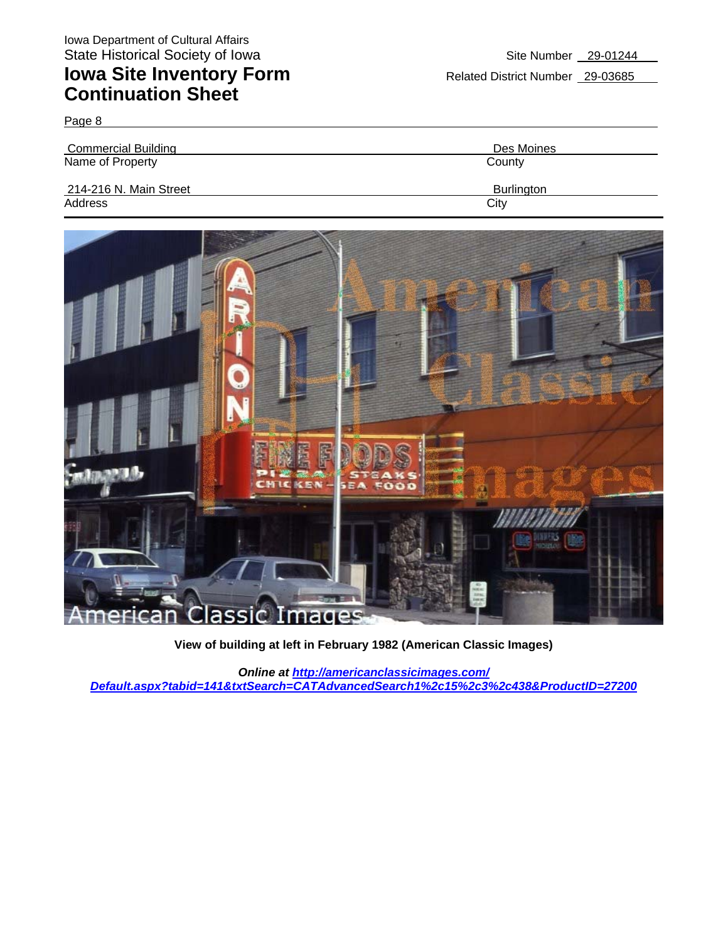Page 8

| <b>Commercial Building</b> | Des Moines        |
|----------------------------|-------------------|
| Name of Property           | County            |
| 214-216 N. Main Street     | <b>Burlington</b> |
| Address                    | City              |



#### **View of building at left in February 1982 (American Classic Images)**

*Online at http://americanclassicimages.com/ Default.aspx?tabid=141&txtSearch=CATAdvancedSearch1%2c15%2c3%2c438&ProductID=27200*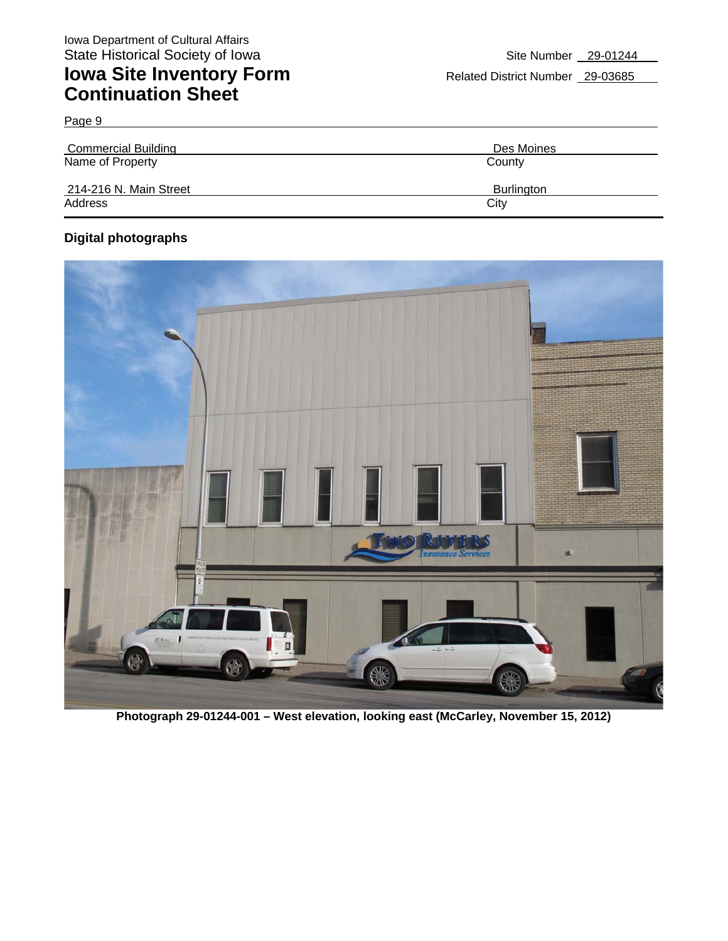Page 9

| <b>Commercial Building</b> | Des Moines        |
|----------------------------|-------------------|
| Name of Property           | County            |
| 214-216 N. Main Street     | <b>Burlington</b> |
| Address                    | City              |

### **Digital photographs**



**Photograph 29-01244-001 – West elevation, looking east (McCarley, November 15, 2012)**